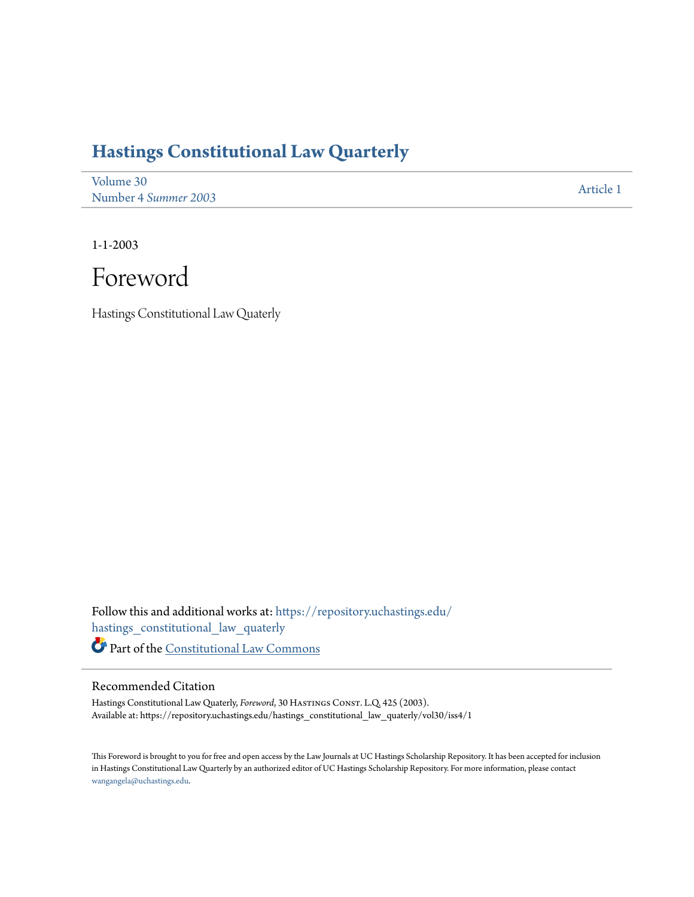## **[Hastings Constitutional Law Quarterly](https://repository.uchastings.edu/hastings_constitutional_law_quaterly?utm_source=repository.uchastings.edu%2Fhastings_constitutional_law_quaterly%2Fvol30%2Fiss4%2F1&utm_medium=PDF&utm_campaign=PDFCoverPages)**

[Volume 30](https://repository.uchastings.edu/hastings_constitutional_law_quaterly/vol30?utm_source=repository.uchastings.edu%2Fhastings_constitutional_law_quaterly%2Fvol30%2Fiss4%2F1&utm_medium=PDF&utm_campaign=PDFCoverPages) Number 4 *[Summer 2003](https://repository.uchastings.edu/hastings_constitutional_law_quaterly/vol30/iss4?utm_source=repository.uchastings.edu%2Fhastings_constitutional_law_quaterly%2Fvol30%2Fiss4%2F1&utm_medium=PDF&utm_campaign=PDFCoverPages)* [Article 1](https://repository.uchastings.edu/hastings_constitutional_law_quaterly/vol30/iss4/1?utm_source=repository.uchastings.edu%2Fhastings_constitutional_law_quaterly%2Fvol30%2Fiss4%2F1&utm_medium=PDF&utm_campaign=PDFCoverPages)

1-1-2003



Hastings Constitutional Law Quaterly

Follow this and additional works at: [https://repository.uchastings.edu/](https://repository.uchastings.edu/hastings_constitutional_law_quaterly?utm_source=repository.uchastings.edu%2Fhastings_constitutional_law_quaterly%2Fvol30%2Fiss4%2F1&utm_medium=PDF&utm_campaign=PDFCoverPages) [hastings\\_constitutional\\_law\\_quaterly](https://repository.uchastings.edu/hastings_constitutional_law_quaterly?utm_source=repository.uchastings.edu%2Fhastings_constitutional_law_quaterly%2Fvol30%2Fiss4%2F1&utm_medium=PDF&utm_campaign=PDFCoverPages) Part of the [Constitutional Law Commons](http://network.bepress.com/hgg/discipline/589?utm_source=repository.uchastings.edu%2Fhastings_constitutional_law_quaterly%2Fvol30%2Fiss4%2F1&utm_medium=PDF&utm_campaign=PDFCoverPages)

## Recommended Citation

Hastings Constitutional Law Quaterly, *Foreword*, 30 HASTINGS CONST. L.Q. 425 (2003). Available at: https://repository.uchastings.edu/hastings\_constitutional\_law\_quaterly/vol30/iss4/1

This Foreword is brought to you for free and open access by the Law Journals at UC Hastings Scholarship Repository. It has been accepted for inclusion in Hastings Constitutional Law Quarterly by an authorized editor of UC Hastings Scholarship Repository. For more information, please contact [wangangela@uchastings.edu](mailto:wangangela@uchastings.edu).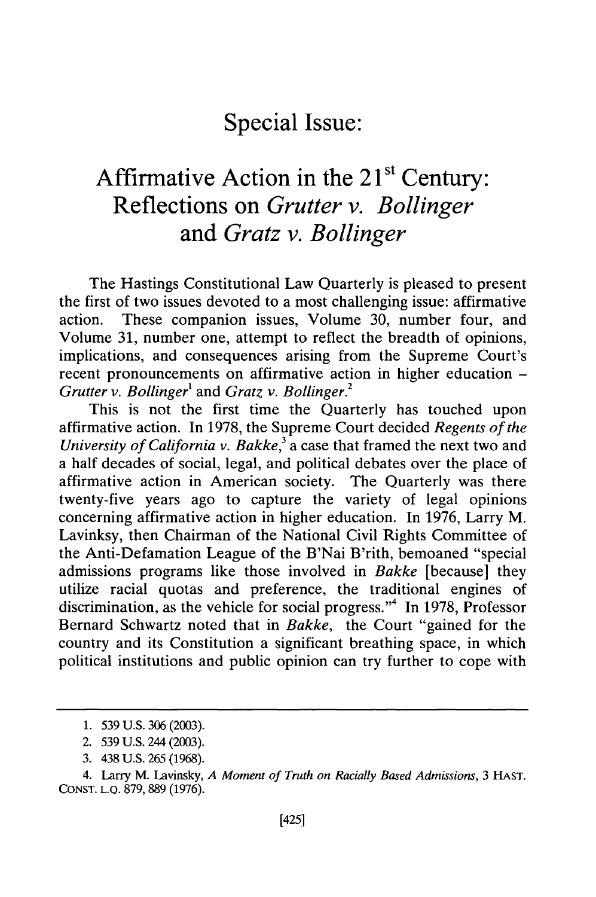**Special Issue:**

## Affirmative Action in the 21<sup>st</sup> Century: **Reflections on** *Grutter v. Bollinger* **and** *Gratz v. Bollinger*

The Hastings Constitutional Law Quarterly is pleased to present the first of two issues devoted to a most challenging issue: affirmative action. These companion issues, Volume 30, number four, and Volume 31, number one, attempt to reflect the breadth of opinions, implications, and consequences arising from the Supreme Court's recent pronouncements on affirmative action in higher education - *Grutter v. Bollinger'* and *Gratz v. Bollinger.*

This is not the first time the Quarterly has touched upon affirmative action. In 1978, the Supreme Court decided *Regents of the University of California v. Bakke*,<sup>3</sup> a case that framed the next two and a half decades of social, legal, and political debates over the place of affirmative action in American society. The Quarterly was there twenty-five years ago to capture the variety of legal opinions concerning affirmative action in higher education. In 1976, Larry M. Lavinksy, then Chairman of the National Civil Rights Committee of the Anti-Defamation League of the B'Nai B'rith, bemoaned "special admissions programs like those involved in *Bakke* [because] they utilize racial quotas and preference, the traditional engines of discrimination, as the vehicle for social progress."<sup>4</sup> In 1978, Professor Bernard Schwartz noted that in *Bakke,* the Court "gained for the country and its Constitution a significant breathing space, in which political institutions and public opinion can try further to cope with

<sup>1. 539</sup> U.S. 306 (2003).

<sup>2. 539</sup> U.S. 244 (2003).

<sup>3. 438</sup> U.S. 265 (1968).

<sup>4.</sup> Larry M. Lavinsky, *A Moment of Truth on Racially Based Admissions,* 3 HAST. CONST. L.Q. 879, 889 (1976).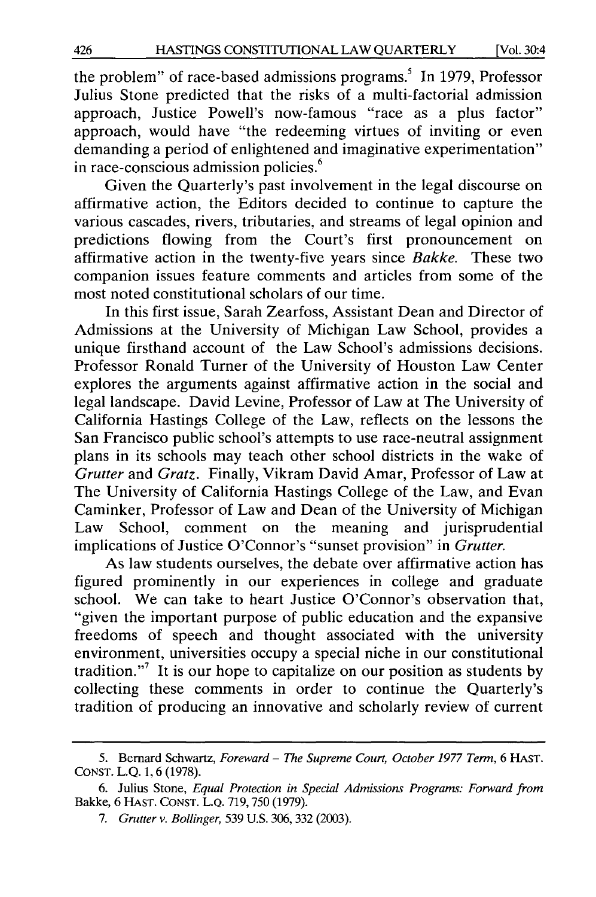the problem" of race-based admissions programs.<sup>5</sup> In 1979, Professor Julius Stone predicted that the risks of a multi-factorial admission approach, Justice Powell's now-famous "race as a plus factor" approach, would have "the redeeming virtues of inviting or even demanding a period of enlightened and imaginative experimentation" in race-conscious admission policies. <sup>6</sup>

Given the Quarterly's past involvement in the legal discourse on affirmative action, the Editors decided to continue to capture the various cascades, rivers, tributaries, and streams of legal opinion and predictions flowing from the Court's first pronouncement on affirmative action in the twenty-five years since *Bakke.* These two companion issues feature comments and articles from some of the most noted constitutional scholars of our time.

In this first issue, Sarah Zearfoss, Assistant Dean and Director of Admissions at the University of Michigan Law School, provides a unique firsthand account of the Law School's admissions decisions. Professor Ronald Turner of the University of Houston Law Center explores the arguments against affirmative action in the social and legal landscape. David Levine, Professor of Law at The University of California Hastings College of the Law, reflects on the lessons the San Francisco public school's attempts to use race-neutral assignment plans in its schools may teach other school districts in the wake of *Grutter* and *Gratz.* Finally, Vikram David Amar, Professor of Law at The University of California Hastings College of the Law, and Evan Caminker, Professor of Law and Dean of the University of Michigan Law School, comment on the meaning and jurisprudential implications of Justice O'Connor's "sunset provision" in *Grutter.*

As law students ourselves, the debate over affirmative action has figured prominently in our experiences in college and graduate school. We can take to heart Justice O'Connor's observation that, "given the important purpose of public education and the expansive freedoms of speech and thought associated with the university environment, universities occupy a special niche in our constitutional tradition."<sup>7</sup> It is our hope to capitalize on our position as students by collecting these comments in order to continue the Quarterly's tradition of producing an innovative and scholarly review of current

<sup>5.</sup> Bernard Schwartz, *Foreward - The Supreme Court, October 1977 Term,* 6 **HAST.** CONST. L.Q. 1, 6 (1978).

<sup>6.</sup> Julius Stone, *Equal Protection in Special Admissions Programs: Forward from* Bakke, 6 HAST. **CONST.** L.Q. 719, 750 (1979).

*<sup>7.</sup> Grutter v. Bollinger,* 539 U.S. 306, 332 (2003).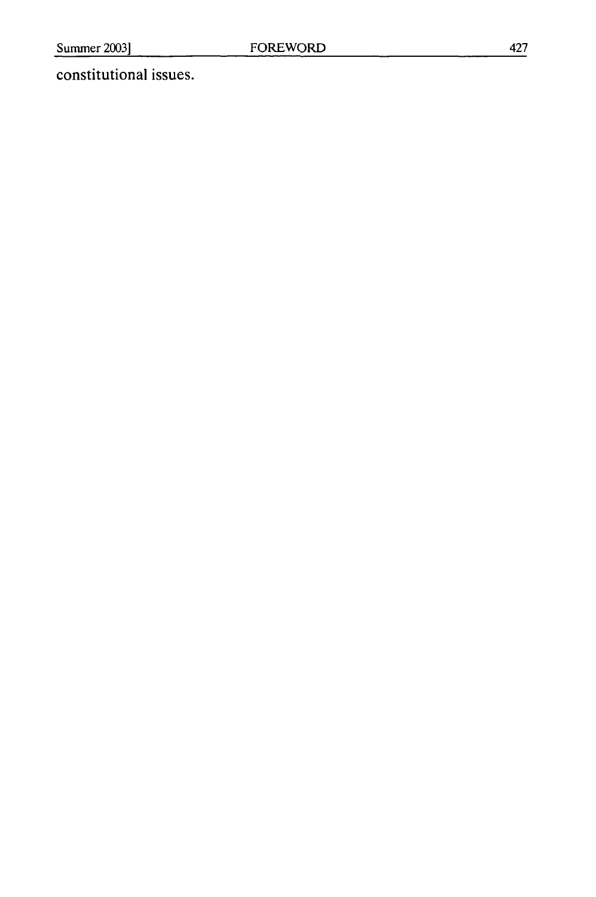## constitutional issues.